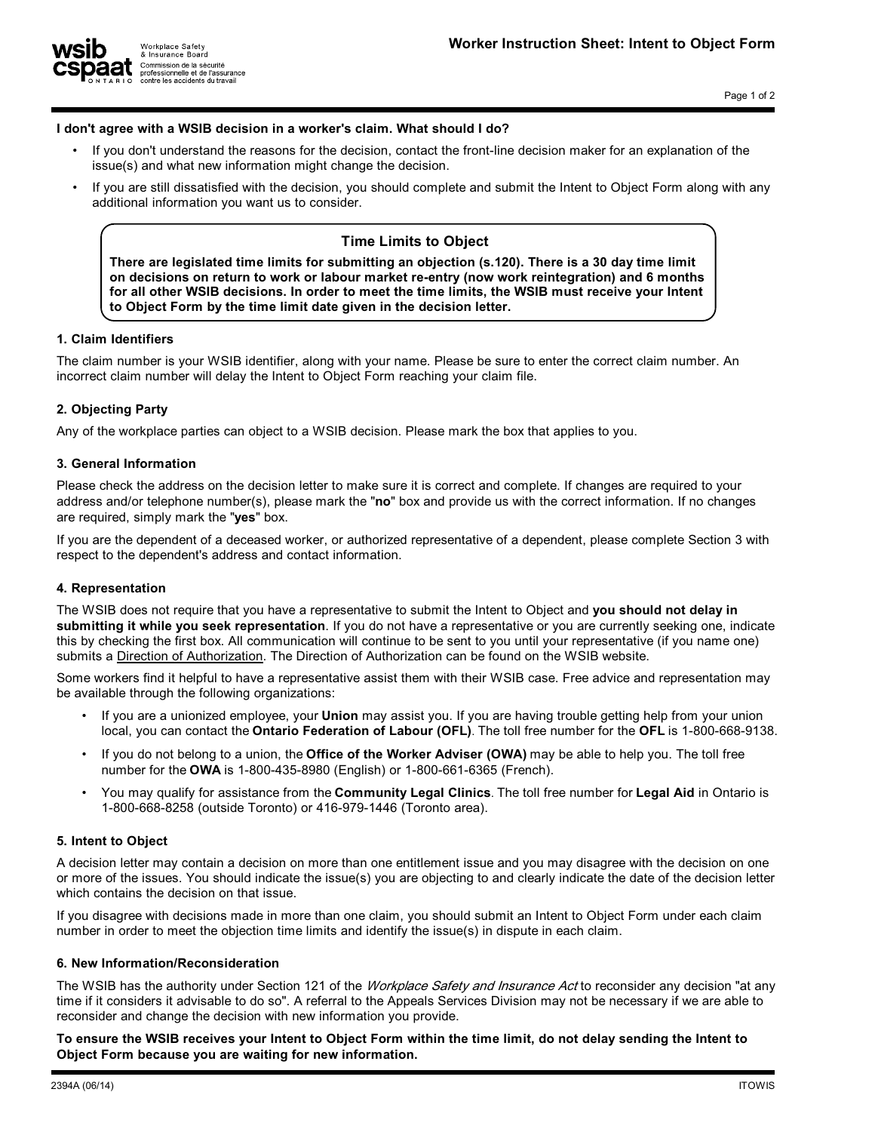

Workplace Safety & Insurance Board Commission de la sécurité<br>professionnelle et de l'assurance contre les accidents du travail

### **I don't agree with a WSIB decision in a worker's claim. What should I do?**

- **• If you don't understand the reasons for the decision, contact the front-line decision maker for an explanation of the issue(s) and what new information might change the decision.**
- **• If you are still dissatisfied with the decision, you should complete and submit the Intent to Object Form along with any additional information you want us to consider.**

# **Time Limits to Object**

**There are legislated time limits for submitting an objection (s.120). There is a 30 day time limit on decisions on return to work or labour market re-entry (now work reintegration) and 6 months for all other WSIB decisions. In order to meet the time limits, the WSIB must receive your Intent to Object Form by the time limit date given in the decision letter.**

#### **1. Claim Identifiers**

**The claim number is your WSIB identifier, along with your name. Please be sure to enter the correct claim number. An incorrect claim number will delay the Intent to Object Form reaching your claim file.**

# **2. Objecting Party**

**Any of the workplace parties can object to a WSIB decision. Please mark the box that applies to you.**

### **3. General Information**

**Please check the address on the decision letter to make sure it is correct and complete. If changes are required to your address and/or telephone number(s), please mark the "no" box and provide us with the correct information. If no changes are required, simply mark the "yes" box.** 

**If you are the dependent of a deceased worker, or authorized representative of a dependent, please complete Section 3 with respect to the dependent's address and contact information.** 

### **4. Representation**

**The WSIB does not require that you have a representative to submit the Intent to Object and you should not delay in submitting it while you seek representation. If you do not have a representative or you are currently seeking one, indicate this by checking the first box. All communication will continue to be sent to you until your representative (if you name one) submits a Direction of Authorization. The Direction of Authorization can be found on the WSIB website.**

**Some workers find it helpful to have a representative assist them with their WSIB case. Free advice and representation may be available through the following organizations:**

- **• If you are a unionized employee, your Union may assist you. If you are having trouble getting help from your union local, you can contact the Ontario Federation of Labour (OFL). The toll free number for the OFL is 1-800-668-9138.**
- **• If you do not belong to a union, the Office of the Worker Adviser (OWA) may be able to help you. The toll free number for the OWA is 1-800-435-8980 (English) or 1-800-661-6365 (French).**
- **• You may qualify for assistance from the Community Legal Clinics. The toll free number for Legal Aid in Ontario is 1-800-668-8258 (outside Toronto) or 416-979-1446 (Toronto area).**

### **5. Intent to Object**

**A decision letter may contain a decision on more than one entitlement issue and you may disagree with the decision on one or more of the issues. You should indicate the issue(s) you are objecting to and clearly indicate the date of the decision letter which contains the decision on that issue.**

**If you disagree with decisions made in more than one claim, you should submit an Intent to Object Form under each claim number in order to meet the objection time limits and identify the issue(s) in dispute in each claim.**

#### **6. New Information/Reconsideration**

**The WSIB has the authority under Section 121 of the** *Workplace Safety and Insurance Act* **to reconsider any decision "at any time if it considers it advisable to do so". A referral to the Appeals Services Division may not be necessary if we are able to reconsider and change the decision with new information you provide.**

**To ensure the WSIB receives your Intent to Object Form within the time limit, do not delay sending the Intent to Object Form because you are waiting for new information.**